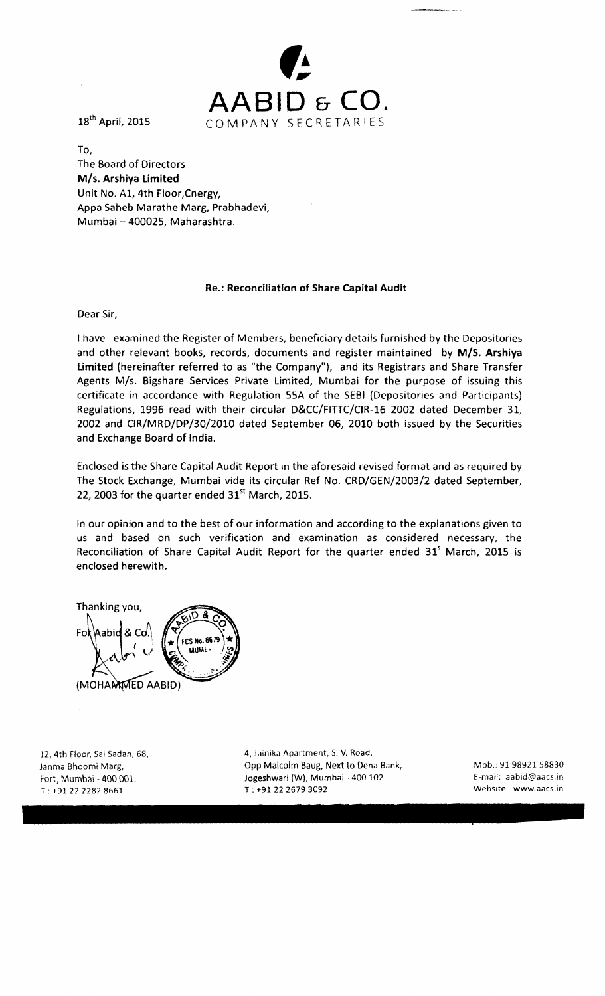

To, The Board of Directors *MIs.* Arshiya Limited Unit No. AI, 4th Floor,Cnergy, Appa Saheb Marathe Marg, Prabhadevi, Mumbai - 400025, Maharashtra.

### Re.: Reconciliation of Share Capital Audit

Dear Sir,

I have examined the Register of Members, beneficiary details furnished by the Depositories and other relevant books, records, documents and register maintained by *MIS.* Arshiya limited (hereinafter referred to as "the Company"), and its Registrars and Share Transfer Agents M/s. Bigshare Services Private Limited, Mumbai for the purpose of issuing this certificate in accordance with Regulation 55A of the SEBI (Depositories and Participants) Regulations, 1996 read with their circular D&CC/FITIC/CIR-16 2002 dated December 31, 2002 and CIR/MRD/DP/30/2010 dated September 06, 2010 both issued by the Securities and Exchange Board of India.

Enclosed is the Share Capital Audit Report in the aforesaid revised format and as required by The Stock Exchange, Mumbai vide its circular Ref No. CRD/GEN/2003/2 dated September, 22, 2003 for the quarter ended  $31<sup>st</sup>$  March, 2015.

In our opinion and to the best of our information and according to the explanations given to us and based on such verification and examination as considered necessary, the Reconciliation of Share Capital Audit Report for the quarter ended 31<sup>s</sup> March, 2015 is enclosed herewith.

Thanking you,  $F_{\Omega}$  $R<sub>0</sub>$ **\abid** FCS No. 6679 MINE (MOHANMED AABID)

 $T : +91 22 2282 8661$  T:  $+91 22 2679 3092$ 

12, 4th Floor, Sai Sadan, 68, 4, 4, Jainika Apartment, S. V. Road, Janma Bhoomi Marg, Santa Comp Malcolm Baug, Next to Dena Bank, Santa Mob.: 91 98921 58830 Fort, Mumbai - 400 001. Jogeshwari (W), Mumbai - 400 102.  $E$ -mail: aabid@aacs.in<br>T: +91 22 2282 8661 F: +91 22 2679 3092 F: +91 22 2679 3092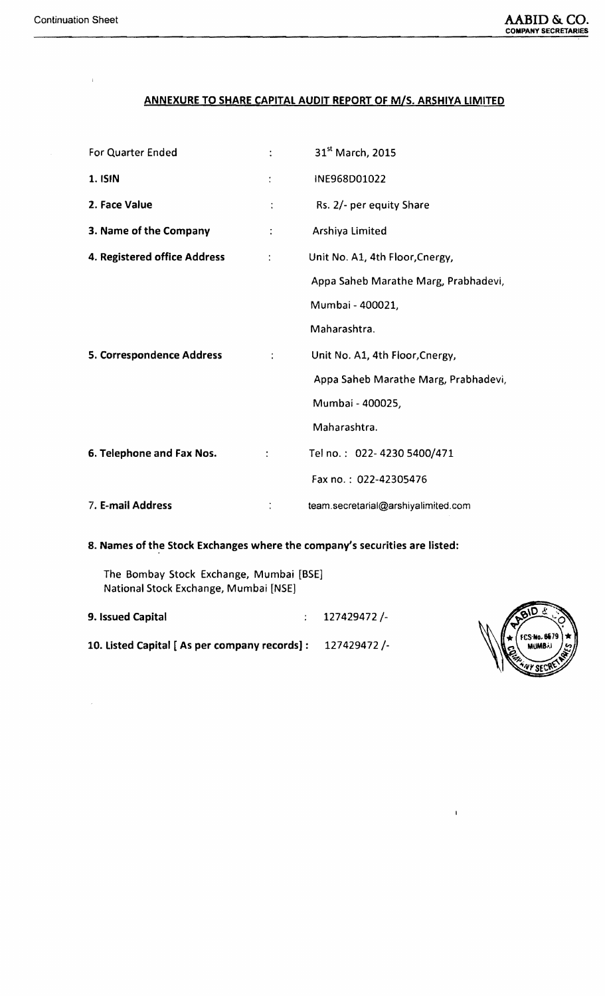$\bar{\bar{1}}$ 

# ANNEXURE TO SHARE CAPITAL AUDIT REPORT OF *MIs.* ARSHIVA LIMITED

| For Quarter Ended            |                      | 31 <sup>st</sup> March, 2015         |  |  |
|------------------------------|----------------------|--------------------------------------|--|--|
| 1. ISIN                      | ÷                    | INE968D01022                         |  |  |
| 2. Face Value                | $\ddot{\cdot}$       | Rs. 2/- per equity Share             |  |  |
| 3. Name of the Company       | ÷                    | Arshiya Limited                      |  |  |
| 4. Registered office Address | $\ddot{\cdot}$       | Unit No. A1, 4th Floor, Cnergy,      |  |  |
|                              |                      | Appa Saheb Marathe Marg, Prabhadevi, |  |  |
|                              |                      | Mumbai - 400021,                     |  |  |
|                              |                      | Maharashtra.                         |  |  |
| 5. Correspondence Address    | $\ddot{\phantom{a}}$ | Unit No. A1, 4th Floor, Cnergy,      |  |  |
|                              |                      | Appa Saheb Marathe Marg, Prabhadevi, |  |  |
|                              |                      | Mumbai - 400025,                     |  |  |
|                              |                      | Maharashtra.                         |  |  |
| 6. Telephone and Fax Nos.    |                      | Tel no.: 022-4230 5400/471           |  |  |
|                              |                      | Fax no.: 022-42305476                |  |  |
| 7. E-mail Address            |                      | team.secretarial@arshiyalimited.com  |  |  |

8. Names of the Stock Exchanges where the company's securities are listed:

The Bombay Stock Exchange, Mumbai [BSE] National Stock Exchange, Mumbai [NSE)

| 9. Issued Capital                             | $: 127429472/-$ |
|-----------------------------------------------|-----------------|
| 10. Listed Capital [As per company records] : | 127429472 /-    |



 $\mathbf{I}$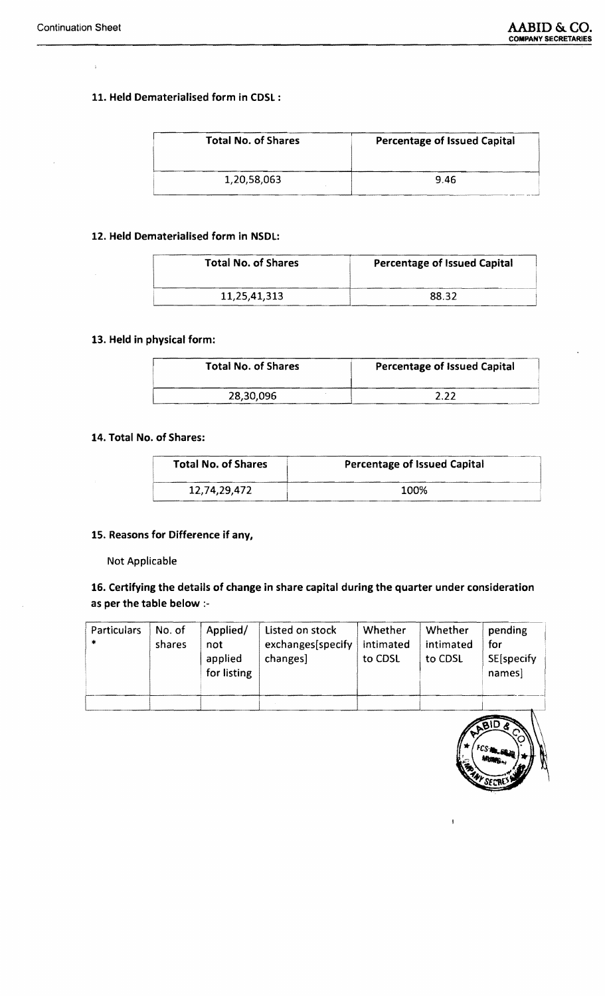$\ddot{\mathrm{r}}$ 

## 11. Held Dematerialised form in CDSL :

| <b>Total No. of Shares</b> | <b>Percentage of Issued Capital</b> |  |  |
|----------------------------|-------------------------------------|--|--|
| 1,20,58,063                | 9.46                                |  |  |

#### 12. Held Dematerialised form in NSDL:

| <b>Total No. of Shares</b> | <b>Percentage of Issued Capital</b> |  |  |
|----------------------------|-------------------------------------|--|--|
| 11,25,41,313               | 88.32                               |  |  |

## 13. Held in physical form:

| <b>Total No. of Shares</b> | <b>Percentage of Issued Capital</b> |  |  |
|----------------------------|-------------------------------------|--|--|
| 28,30,096                  | ר ר                                 |  |  |

#### 14. Total No. of Shares:

| <b>Total No. of Shares</b> | <b>Percentage of Issued Capital</b> |  |  |
|----------------------------|-------------------------------------|--|--|
| 12,74,29,472               | 100%                                |  |  |

### 15. Reasons for Difference if any,

#### Not Applicable

 $\bar{z}$ 

# 16. Certifying the details of change in share capital during the quarter under consideration as per the table below :

| <b>Particulars</b><br>$\ast$ | No. of<br>shares | Applied/<br>not<br>applied<br>for listing | Listed on stock<br>exchanges[specify<br>changes] | Whether<br>intimated<br>to CDSL | Whether<br>intimated<br>to CDSL | pending<br>for<br>SE[specify<br>names |
|------------------------------|------------------|-------------------------------------------|--------------------------------------------------|---------------------------------|---------------------------------|---------------------------------------|
|                              |                  |                                           |                                                  |                                 |                                 |                                       |



 $\overline{\phantom{a}}$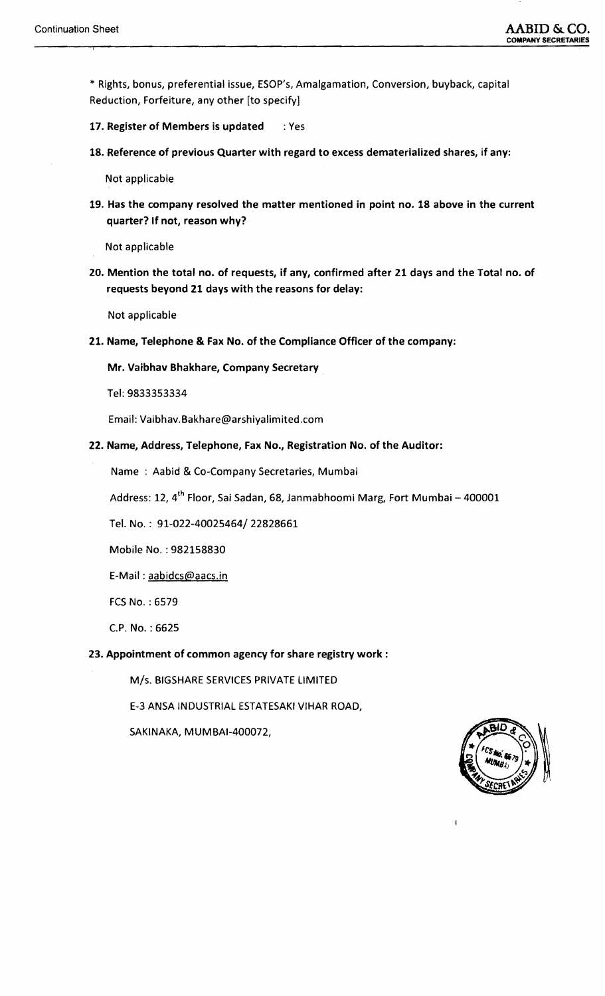\* Rights, bonus, preferential issue, ESOP's, Amalgamation, Conversion, buyback, capital Reduction, forfeiture, any other [to specify]

- 17. Register of Members is updated : Yes
- 18. Reference of previous Quarter with regard to excess dematerialized shares, if any:

Not applicable

19. Has the company resolved the matter mentioned in point no. 18 above in the current quarter? If not, reason why?

Not applicable

20. Mention the total no. of requests, if any, confirmed after 21 days and the Total no. of requests beyond 21 days with the reasons for delay:

Not applicable

21. Name, Telephone & Fax No. of the Compliance Officer of the company:

Mr. Vaibhav Bhakhare, Company Secretary

Tel: 9833353334

Email: Vaibhav.Bakhare@arshiyalimited.com

22. Name, Address, Telephone, Fax No., Registration No. of the Auditor:

Name : Aabid & Co-Company Secretaries, Mumbai

Address: 12, 4<sup>th</sup> Floor, Sai Sadan, 68, Janmabhoomi Marg, Fort Mumbai - 400001

Tel. No. : 91-022-40025464/22828661

Mobile No. : 982158830

E-Mail: aabidcs@aacs.in

fCS No. : 6579

c.P. No. : 6625

### 23. Appointment of common agency for share registry work:

M/s. BIGSHARE SERVICES PRIVATE LIMITED

E-3 ANSA INDUSTRIAL ESTATESAKI VIHAR ROAD,

SAKINAKA, MUMBAI-400072,